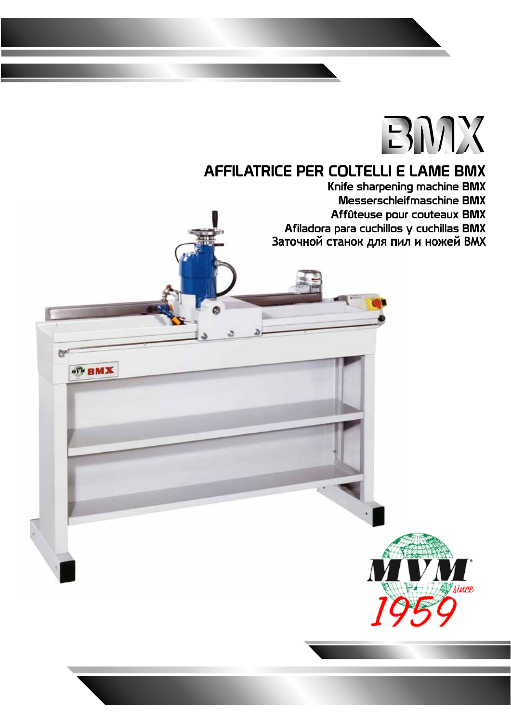## **EMX**

ince

## AFFILATRICE PER COLTELLI E LAME BMX

that's

**WEBMX** 

Knife sharpening machine BMX Messerschleifmaschine BMX Affûteuse pour couteaux BMX Afiladora para cuchillos y cuchillas BMX Заточной станок для пил и ножей ВМХ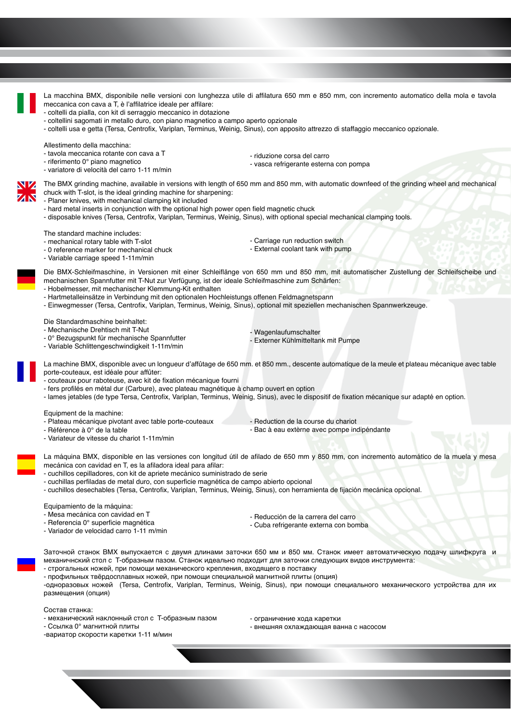

Заточной станок BMX выпускается с двумя длинами заточки 650 мм и 850 мм. Станок имеет автоматическую подачу шлифкруга и механичнский стол с T-образным пазом. Станок идеально подходит для заточки следующих видов инструмента:

- строгальных ножей, при помощи механического крепления, входящего в поставку - профильных твёрдосплавных ножей, при помощи специальной магнитной плиты (опция)

-одноразовых ножей (Tersa, Centrofix, Variplan, Terminus, Weinig, Sinus), при помощи специального механического устройства для их размещения (опция)

Состав станка:

- механический наклонный стол с T-образным пазом

- Ссылка 0° магнитной плиты

- ограничение хода каретки

- внешняя охлаждающая ванна с насосом

-вариатор скорости каретки 1-11 м/мин

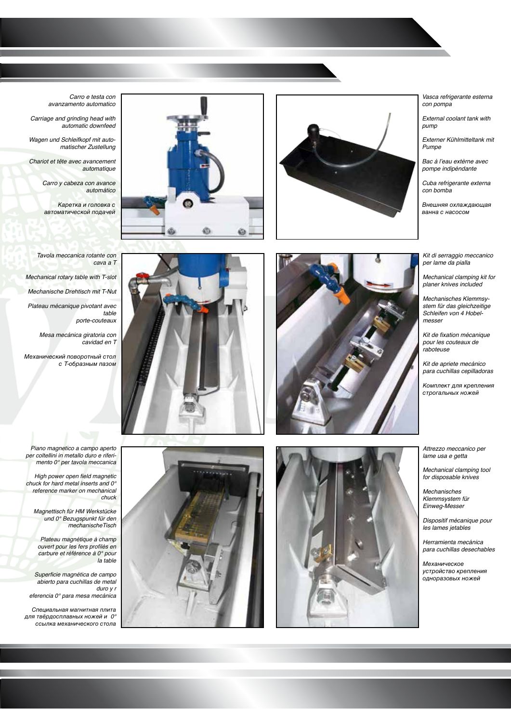



*Vasca refrigerante esterna con pompa*

*External coolant tank with pump*

*Externer Kühlmitteltank mit Pumpe*

Bac à l'eau extèrne avec *pompe indipéndante*

*Cuba refrigerante externa con bomba*

Внешняя охлаждающая ванна с насосом

*Kit di serraggio meccanico per lame da pialla*

*Mechanical clamping kit for planer knives included*

*Mechanisches Klemmsystem für das gleichzeitige Schleifen von 4 Hobel messer*

Kit de fixation mécanique *pour les couteaux de raboteuse*

*Kit de apriete mecánico para cuchillas cepilladoras*

Комплект для крепления строгальных ножей

*Attrezzo meccanico per lame usa e getta*

*Mechanical clamping tool for disposable knives*

*Mechanisches Klemmsystem für Einweg-Messer*

*Dispositif mécanique pour les lames jetables*

*Herramienta mecánica para cuchillas desechables*

Механическое устройство крепления одноразовых ножей

*Carro e testa con avanzamento automatico*

*Carriage and grinding head with automatic downfeed*

*Wagen und Schleifkopf mit auto matischer Zustellung*

*Chariot et tête avec avancement automatique*

> *Carro y cabeza con avance automático*

Каретка и головка с автоматической подачей

*Tavola meccanica rotante con cava a T Mechanical rotary table with T-slot Mechanische Drehtisch mit T-Nut Plateau mécanique pivotant avec table porte-couteaux*

> *Mesa mecánica giratoria con cavidad en T*

Механический поворотный стол с T-образным пазом





*Piano magnetico a campo aperto per coltellini in metallo duro e riferi mento 0° per tavola meccanica*

High power open field magnetic *chuck for hard metal inserts and 0° reference marker on mechanical chuck*

*Magnettisch für HM Werkstücke und 0° Bezugspunkt für den mechanischeTisch*

*Plateau magnétique à champ*  ouvert pour les fers profilés en *carbure et référence à 0° pour la table*

Superficie magnética de campo *abierto para cuchillas de metal duro y r eferencia 0° para mesa mecánica*

Специальная магнитная плита для твёрдосплавных ножей и 0° ссылка механического стола